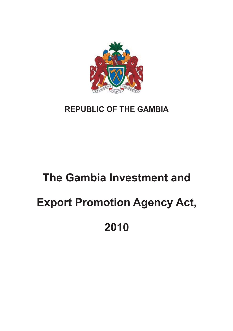

## **REPUBLIC OF THE GAMBIA**

# **The Gambia Investment and Export Promotion Agency Act, 2010**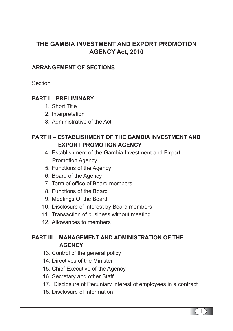## **THE GAMBIA INVESTMENT AND EXPORT PROMOTION AGENCY Act, 2010**

## **ARRANGEMENT OF SECTIONS**

**Section** 

## **PART I – PRELIMINARY**

- 1. Short Title
- 2. Interpretation
- 3. Administrative of the Act

## **PART II – ESTABLISHMENT OF THE GAMBIA INVESTMENT AND EXPORT PROMOTION AGENCY**

- 4. Establishment of the Gambia Investment and Export Promotion Agency
- 5. Functions of the Agency
- 6. Board of the Agency
- 7. Term of office of Board members
- 8. Functions of the Board
- 9. Meetings Of the Board
- 10. Disclosure of interest by Board members
- 11. Transaction of business without meeting
- 12. Allowances to members

## **PART III – MANAGEMENT AND ADMINISTRATION OF THE AGENCY**

- 13. Control of the general policy
- 14. Directives of the Minister
- 15. Chief Executive of the Agency
- 16. Secretary and other Staff
- 17. Disclosure of Pecuniary interest of employees in a contract
- 18. Disclosure of information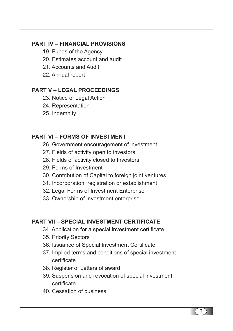## **PART IV – FINANCIAL PROVISIONS**

- 19. Funds of the Agency
- 20. Estimates account and audit
- 21. Accounts and Audit
- 22. Annual report

## **PART V – LEGAL PROCEEDINGS**

- 23. Notice of Legal Action
- 24. Representation
- 25. Indemnity

## **PART VI – FORMS OF INVESTMENT**

- 26. Government encouragement of investment
- 27. Fields of activity open to investors
- 28. Fields of activity closed to Investors
- 29. Forms of Investment
- 30. Contribution of Capital to foreign joint ventures
- 31. Incorporation, registration or establishment
- 32. Legal Forms of Investment Enterprise
- 33. Ownership of Investment enterprise

## **PART VII – SPECIAL INVESTMENT CERTIFICATE**

- 34. Application for a special investment certificate
- 35. Priority Sectors
- 36. Issuance of Special Investment Certificate
- 37. Implied terms and conditions of special investment certificate
- 38. Register of Letters of award
- 39. Suspension and revocation of special investment certificate
- 40. Cessation of business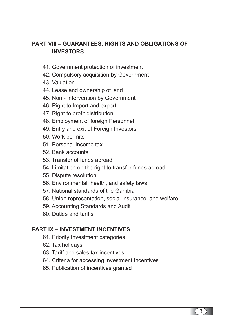## **PART VIII – GUARANTEES, RIGHTS AND OBLIGATIONS OF INVESTORS**

- 41. Government protection of investment
- 42. Compulsory acquisition by Government
- 43. Valuation
- 44. Lease and ownership of land
- 45. Non Intervention by Government
- 46. Right to Import and export
- 47. Right to profit distribution
- 48. Employment of foreign Personnel
- 49. Entry and exit of Foreign Investors
- 50. Work permits
- 51. Personal Income tax
- 52. Bank accounts
- 53. Transfer of funds abroad
- 54. Limitation on the right to transfer funds abroad
- 55. Dispute resolution
- 56. Environmental, health, and safety laws
- 57. National standards of the Gambia
- 58. Union representation, social insurance, and welfare
- 59. Accounting Standards and Audit
- 60. Duties and tariffs

## **PART IX – INVESTMENT INCENTIVES**

- 61. Priority Investment categories
- 62. Tax holidays
- 63. Tariff and sales tax incentives
- 64. Criteria for accessing investment incentives
- 65. Publication of incentives granted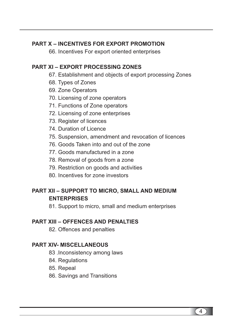## **PART X – INCENTIVES FOR EXPORT PROMOTION**

66. Incentives For export oriented enterprises

## **PART XI – EXPORT PROCESSING ZONES**

- 67. Establishment and objects of export processing Zones
- 68. Types of Zones
- 69. Zone Operators
- 70. Licensing of zone operators
- 71. Functions of Zone operators
- 72. Licensing of zone enterprises
- 73. Register of licences
- 74. Duration of Licence
- 75. Suspension, amendment and revocation of licences
- 76. Goods Taken into and out of the zone
- 77. Goods manufactured in a zone
- 78. Removal of goods from a zone
- 79. Restriction on goods and activities
- 80. Incentives for zone investors

## **PART XII – SUPPORT TO MICRO, SMALL AND MEDIUM ENTERPRISES**

81. Support to micro, small and medium enterprises

## **PART XIII – OFFENCES AND PENALTIES**

82. Offences and penalties

## **PART XIV- MISCELLANEOUS**

- 83 .Inconsistency among laws
- 84. Regulations
- 85. Repeal
- 86. Savings and Transitions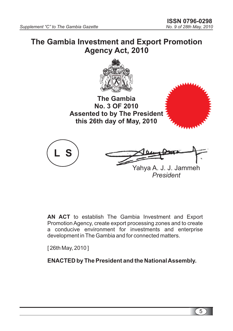## **The Gambia Investment and Export Promotion Agency Act, 2010**



**The Gambia No. 3 OF 2010 Assented to by The President this 26th day of May, 2010**



**AN ACT** to establish The Gambia Investment and Export Promotion Agency, create export processing zones and to create a conducive environment for investments and enterprise development in The Gambia and for connected matters.

[ 26th May, 2010 ]

**ENACTED by The President and the NationalAssembly.**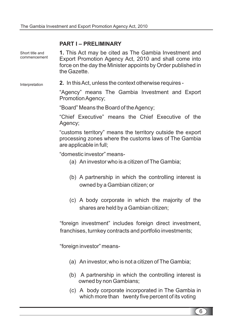## **PART I – PRELIMINARY**

| Short title and<br>commencement | 1. This Act may be cited as The Gambia Investment and<br>Export Promotion Agency Act, 2010 and shall come into<br>force on the day the Minister appoints by Order published in<br>the Gazette. |  |
|---------------------------------|------------------------------------------------------------------------------------------------------------------------------------------------------------------------------------------------|--|
| Interpretation                  | 2. In this Act, unless the context otherwise requires -                                                                                                                                        |  |
|                                 | "Agency" means The Gambia Investment and Export<br>Promotion Agency;                                                                                                                           |  |
|                                 | "Board" Means the Board of the Agency;                                                                                                                                                         |  |
|                                 | "Chief Executive" means the Chief Executive of the<br>Agency;                                                                                                                                  |  |
|                                 | "customs territory" means the territory outside the export<br>processing zones where the customs laws of The Gambia<br>are applicable in full;                                                 |  |
|                                 | "domestic investor" means-                                                                                                                                                                     |  |
|                                 | (a) An investor who is a citizen of The Gambia;                                                                                                                                                |  |
|                                 | (b) A partnership in which the controlling interest is<br>owned by a Gambian citizen; or                                                                                                       |  |
|                                 | (c) A body corporate in which the majority of the<br>shares are held by a Gambian citizen;                                                                                                     |  |
|                                 | "foreign investment" includes foreign direct investment,                                                                                                                                       |  |
|                                 | franchises, turnkey contracts and portfolio investments;                                                                                                                                       |  |
|                                 | "foreign investor" means-                                                                                                                                                                      |  |
|                                 | (a) An investor, who is not a citizen of The Gambia;                                                                                                                                           |  |
|                                 | (b) A partnership in which the controlling interest is<br>owned by non Gambians;                                                                                                               |  |

(c) A body corporate incorporated in The Gambia in which more than twenty five percent of its voting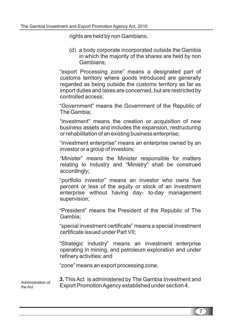rights are held by non Gambians.

(d) a body corporate incorporated outside the Gambia in which the majority of the shares are held by non Gambians;

"export Processing zone" means a designated part of customs territory where goods introduced are generally regarded as being outside the customs territory as far as import duties and taxes are concerned, but are restricted by controlled access;

"Government" means the Government of the Republic of The Gambia;

"investment" means the creation or acquisition of new business assets and includes the expansion, restructuring or rehabilitation of an existing business enterprise:

"investment enterprise" means an enterprise owned by an investor or a group of investors;

"Minister" means the Minister responsible for matters relating to Industry and "Ministry" shall be construed accordingly;

"portfolio investor" means an investor who owns five percent or less of the equity or stock of an investment enterprise without having day- to-day management supervision;

"President" means the President of the Republic of The Gambia;

"special investment certificate" means a special investment certificate issued under Part VII;

"Strategic industry" means an investment enterprise operating in mining, and petroleum exploration and under refinery activities: and

"zone" means an export processing zone.

Administration of the Act

**3.** This Act is administered by The Gambia Investment and Export Promotion Agency established under section 4.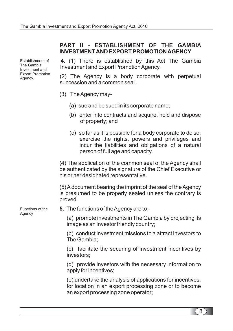## **PART II - ESTABLISHMENT OF THE GAMBIA INVESTMENTAND EXPORT PROMOTIONAGENCY**

Establishment of The Gambia Investment and Export Promotion Agency.

**4.** (1) There is established by this Act The Gambia Investment and Export PromotionAgency.

(2) The Agency is a body corporate with perpetual succession and a common seal.

- (3) TheAgency may-
	- (a) sue and be sued in its corporate name;
	- (b) enter into contracts and acquire, hold and dispose of property; and
	- (c) so far as it is possible for a body corporate to do so, exercise the rights, powers and privileges and incur the liabilities and obligations of a natural person of full age and capacity.

(4) The application of the common seal of the Agency shall be authenticated by the signature of the Chief Executive or his or her designated representative.

(5)Adocument bearing the imprint of the seal of theAgency is presumed to be properly sealed unless the contrary is proved.

**5.** The functions of theAgency are to -

(a) promote investments in The Gambia by projecting its image as an investor friendly country;

(b) conduct investment missions to a attract investors to The Gambia;

(c) facilitate the securing of investment incentives by investors;

(d) provide investors with the necessary information to apply for incentives;

(e) undertake the analysis of applications for incentives, for location in an export processing zone or to become an export processing zone operator;

Functions of the Agency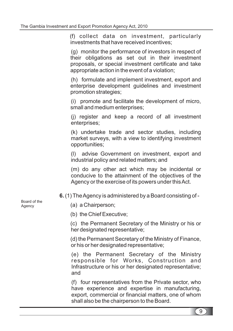(f) collect data on investment, particularly investments that have received incentives;

(g) monitor the performance of investors in respect of their obligations as set out in their investment proposals, or special investment certificate and take appropriate action in the event of a violation;

(h) formulate and implement investment, export and enterprise development guidelines and investment promotion strategies;

(i) promote and facilitate the development of micro, small and medium enterprises;

(j) register and keep a record of all investment enterprises;

(k) undertake trade and sector studies, including market surveys, with a view to identifying investment opportunities;

(l) advise Government on investment, export and industrial policy and related matters; and

(m) do any other act which may be incidental or conducive to the attainment of the objectives of the Agency or the exercise of its powers under thisAct.

(1) TheAgency is administered by a Board consisting of - **6.**

- (a) a Chairperson;
- (b) the Chief Executive;

(c) the Permanent Secretary of the Ministry or his or her designated representative;

(d) the Permanent Secretary of the Ministry of Finance, or his or her designated representative;

(e) the Permanent Secretary of the Ministry responsible for Works, Construction and Infrastructure or his or her designated representative; and

(f) four representatives from the Private sector, who have experience and expertise in manufacturing, export, commercial or financial matters, one of whom shall also be the chairperson to the Board.

Board of the Agency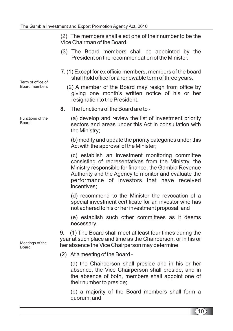(2) The members shall elect one of their number to be the Vice Chairman of the Board.

- (3) The Board members shall be appointed by the President on the recommendation of the Minister.
- (1) Except for ex officio members, members of the board **7.** shall hold office for a renewable term of three years.
	- (2) A member of the Board may resign from office by giving one month's written notice of his or her resignation to the President.
- The functions of the Board are to **8.**

(a) develop and review the list of investment priority sectors and areas under this Act in consultation with the Ministry;

(b) modify and update the priority categories under this Act with the approval of the Minister;

(c) establish an investment monitoring committee consisting of representatives from the Ministry, the Ministry responsible for finance, the Gambia Revenue Authority and the Agency to monitor and evaluate the performance of investors that have received incentives;

(d) recommend to the Minister the revocation of a special investment certificate for an investor who has not adhered to his or her investment proposal; and

(e) establish such other committees as it deems necessary.

(1) The Board shall meet at least four times during the year at such place and time as the Chairperson, or in his or her absence the Vice Chairperson may determine. **9.**

(2) At a meeting of the Board -

(a) the Chairperson shall preside and in his or her absence, the Vice Chairperson shall preside, and in the absence of both, members shall appoint one of their number to preside;

(b) a majority of the Board members shall form a quorum; and

Term of office of Board members

Functions of the Board

Meetings of the Board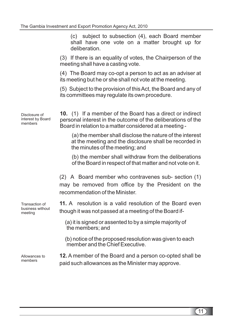(c) subject to subsection (4), each Board member shall have one vote on a matter brought up for deliberation.

(3) If there is an equality of votes, the Chairperson of the meeting shall have a casting vote.

(4) The Board may co-opt a person to act as an adviser at its meeting but he or she shall not vote at the meeting.

(5) Subject to the provision of thisAct, the Board and any of its committees may regulate its own procedure.

(1) If a member of the Board has a direct or indirect **10.** personal interest in the outcome of the deliberations of the Board in relation to a matter considered at a meeting -

> (a) the member shall disclose the nature of the interest at the meeting and the disclosure shall be recorded in the minutes of the meeting; and

> (b) the member shall withdraw from the deliberations of the Board in respect of that matter and not vote on it.

(2) A Board member who contravenes sub- section (1) may be removed from office by the President on the recommendation of the Minister.

**11.** A resolution is a valid resolution of the Board even though it was not passed at a meeting of the Board if-

(a) it is signed or assented to by a simple majority of the members; and

(b) notice of the proposed resolution was given to each member and the Chief Executive.

12. A member of the Board and a person co-opted shall be paid such allowances as the Minister may approve.

Disclosure of interest by Board members

Transaction of business without meeting

Allowances to members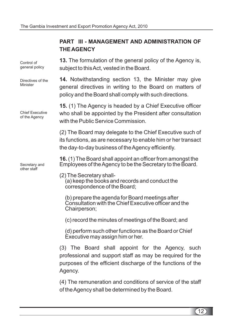## **PART III - MANAGEMENT AND ADMINISTRATION OF THEAGENCY**

**13.** The formulation of the general policy of the Agency is, **14.** Notwithstanding section 13, the Minister may give **15.** (1) The Agency is headed by a Chief Executive officer **16.** (1) The Board shall appoint an officer from amongst the subject to thisAct, vested in the Board. general directives in writing to the Board on matters of policy and the Board shall comply with such directions. who shall be appointed by the President after consultation with the Public Service Commission. (2) The Board may delegate to the Chief Executive such of its functions, as are necessary to enable him or her transact the day-to-day business of theAgency efficiently. Employees of theAgency to be the Secretary to the Board. (2) The Secretary shall- (a) keep the books and records and conduct the correspondence of the Board; (b) prepare the agenda for Board meetings after Consultation with the Chief Executive officer and the Chairperson; (c) record the minutes of meetings of the Board; and (d) perform such other functions as the Board or Chief Executive may assign him or her. (3) The Board shall appoint for the Agency, such professional and support staff as may be required for the purposes of the efficient discharge of the functions of the Agency. (4) The remuneration and conditions of service of the staff of theAgency shall be determined by the Board. Control of general policy Directives of the Minister Chief Executive of the Agency Secretary and other staff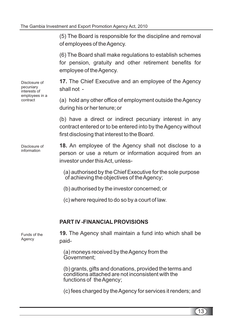(5) The Board is responsible for the discipline and removal of employees of theAgency.

(6) The Board shall make regulations to establish schemes for pension, gratuity and other retirement benefits for employee of theAgency.

17. The Chief Executive and an employee of the Agency shall not -

(a) hold any other office of employment outside theAgency during his or her tenure; or

(b) have a direct or indirect pecuniary interest in any contract entered or to be entered into by theAgency without first disclosing that interest to the Board.

**18.** An employee of the Agency shall not disclose to a person or use a return or information acquired from an investor under thisAct, unless-

(a) authorised by the Chief Executive for the sole purpose of achieving the objectives of theAgency;

- (b) authorised by the investor concerned; or
- (c) where required to do so by a court of law.

## **PART IV -FINANCIAL PROVISIONS**

19. The Agency shall maintain a fund into which shall be paid-

> (a) moneys received by theAgency from the Government;

(b) grants, gifts and donations, provided the terms and conditions attached are not inconsistent with the functions of the Agency:

(c) fees charged by theAgency for services it renders; and

Disclosure of pecuniary interests of employees in a contract

Disclosure of information

Funds of the Agency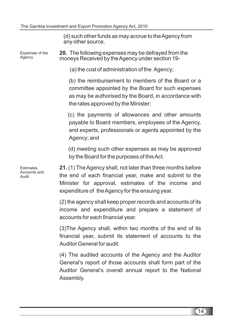(d) such other funds as may accrue to theAgency from any other source.

20. The following expenses may be defrayed from the moneys Received by theAgency under section 19- Expenses of the Agency

(a) the cost of administration of the Agency;

(b) the reimbursement to members of the Board or a committee appointed by the Board for such expenses as may be authorised by the Board, in accordance with the rates approved by the Minister;

(c) the payments of allowances and other amounts payable to Board members, employees of the Agency, and experts, professionals or agents appointed by the Agency; and

(d) meeting such other expenses as may be approved by the Board for the purposes of thisAct.

21. (1) The Agency shall, not later than three months before the end of each financial year, make and submit to the Minister for approval, estimates of the income and expenditure of theAgency for the ensuing year.

(2) the agency shall keep proper records and accounts of its income and expenditure and prepare a statement of accounts for each financial year.

(3)The Agency shall, within two months of the end of its financial year, submit its statement of accounts to the Auditor General for audit.

(4) The audited accounts of the Agency and the Auditor General's report of those accounts shall form part of the Auditor General's overall annual report to the National Assembly.

Estimates, Accounts and Audit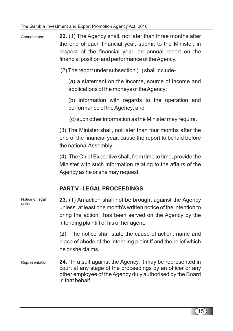**22.** (1) The Agency shall, not later than three months after the end of each financial year, submit to the Minister, in respect of the financial year, an annual report on the financial position and performance of the Agency. Annual report

(2) The report under subsection (1) shall include-

(a) a statement on the income, source of income and applications of the moneys of theAgency;

(b) information with regards to the operation and performance of theAgency; and

(c) such other information as the Minister may require.

(3) The Minister shall, not later than four months after the end of the financial year, cause the report to be laid before the nationalAssembly.

(4) The Chief Executive shall, from time to time, provide the Minister with such information relating to the affairs of the Agency as he or she may request.

## **PART V - LEGAL PROCEEDINGS**

| Notice of legal<br>action | 23. (1) An action shall not be brought against the Agency<br>unless at least one month's written notice of the intention to<br>bring the action has been served on the Agency by the<br>intending plaintiff or his or her agent. |
|---------------------------|----------------------------------------------------------------------------------------------------------------------------------------------------------------------------------------------------------------------------------|
|                           | (2) The notice shall state the cause of action, name and<br>place of abode of the intending plaintiff and the relief which<br>he or she claims.                                                                                  |
| Representation            | 24. In a suit against the Agency, it may be represented in<br>court at any stage of the proceedings by an officer or any<br>other employee of the Agency duly authorised by the Board<br>in that behalf.                         |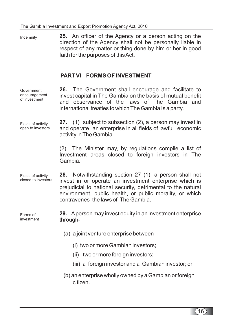**25.** An officer of the Agency or a person acting on the **PART VI – FORMS OF INVESTMENT 26.** The Government shall encourage and facilitate to **27.** (1) subject to subsection (2), a person may invest in **28.** Notwithstanding section 27 (1), a person shall not **29.** Aperson may invest equity in an investment enterprise direction of the Agency shall not be personally liable in respect of any matter or thing done by him or her in good faith for the purposes of this Act. invest capital in The Gambia on the basis of mutual benefit and observance of the laws of The Gambia and international treaties to which The Gambia Is a party. and operate an enterprise in all fields of lawful economic activity in The Gambia. (2) The Minister may, by regulations compile a list of Investment areas closed to foreign investors in The Gambia. invest in or operate an investment enterprise which is prejudicial to national security, detrimental to the natural environment, public health, or public morality, or which contravenes the laws of The Gambia. through- (a) a joint venture enterprise between- (i) two or more Gambian investors; (ii) two or more foreign investors; (iii) a foreign investor and a Gambian investor; or (b) an enterprise wholly owned by a Gambian or foreign citizen. Indemnity Government encouragement of investment Fields of activity open to investors Fields of activity closed to investors Forms of investment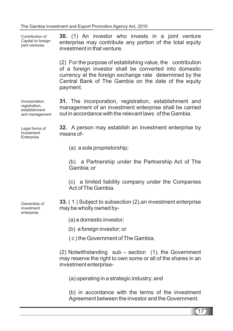**30.** (1) An investor who invests in a joint venture **31.** The incorporation, registration, establishment and **32.** A person may establish an investment enterprise by **33.** ( 1 ) Subject to subsection (2),an investment enterprise enterprise may contribute any portion of the total equity investment in that venture. (2) For the purpose of establishing value, the contribution of a foreign investor shall be converted into domestic currency at the foreign exchange rate determined by the Central Bank of The Gambia on the date of the equity payment. management of an investment enterprise shall be carried out in accordance with the relevant laws of the Gambia. means of- (a) a sole proprietorship; (b) a Partnership under the Partnership Act of The Gambia; or (c) a limited liability company under the Companies Act of The Gambia. may be wholly owned by- (a) a domestic investor; (b) a foreign investor; or ( c ) the Government of The Gambia. (2) Notwithstanding  $sub$  – section (1), the Government may reserve the right to own some or all of the shares in an investment enterprise- (a) operating in a strategic industry; and (b) in accordance with the terms of the investment Contribution of Capital to foreign joint ventures Incorporation, registration, establishment and management Legal forms of Investment **Enterprise** Ownership of investment enterprise

Agreement between the investor and the Government.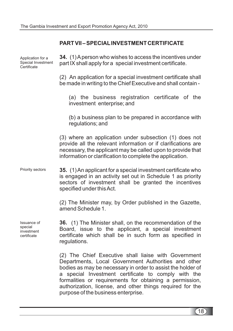## **PART VII – SPECIAL INVESTMENT CERTIFICATE**

| Application for a<br>Special Investment<br>Certificate | 34. (1) A person who wishes to access the incentives under<br>part IX shall apply for a special investment certificate.                                                                                                                                                                                                                                                                             |
|--------------------------------------------------------|-----------------------------------------------------------------------------------------------------------------------------------------------------------------------------------------------------------------------------------------------------------------------------------------------------------------------------------------------------------------------------------------------------|
|                                                        | (2) An application for a special investment certificate shall<br>be made in writing to the Chief Executive and shall contain -                                                                                                                                                                                                                                                                      |
|                                                        | (a) the business registration certificate of the<br>investment enterprise; and                                                                                                                                                                                                                                                                                                                      |
|                                                        | (b) a business plan to be prepared in accordance with<br>regulations; and                                                                                                                                                                                                                                                                                                                           |
|                                                        | (3) where an application under subsection (1) does not<br>provide all the relevant information or if clarifications are<br>necessary, the applicant may be called upon to provide that<br>information or clarification to complete the application.                                                                                                                                                 |
| Priority sectors                                       | 35. (1) An applicant for a special investment certificate who<br>is engaged in an activity set out in Schedule 1 as priority<br>sectors of investment shall be granted the incentives<br>specified under this Act.                                                                                                                                                                                  |
|                                                        | (2) The Minister may, by Order published in the Gazette,<br>amend Schedule 1.                                                                                                                                                                                                                                                                                                                       |
| Issuance of<br>special<br>investment<br>certificate    | 36. (1) The Minister shall, on the recommendation of the<br>Board, issue to the applicant, a special investment<br>certificate which shall be in such form as specified in<br>regulations.                                                                                                                                                                                                          |
|                                                        | (2) The Chief Executive shall liaise with Government<br>Departments, Local Government Authorities and other<br>bodies as may be necessary in order to assist the holder of<br>special Investment certificate to comply with the<br>a<br>formalities or requirements for obtaining a permission,<br>authorization, license, and other things required for the<br>purpose of the business enterprise. |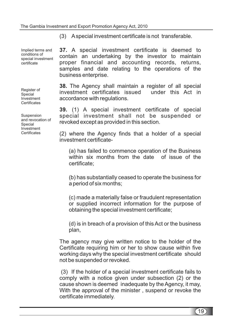Implied terms and conditions of special investment certificate

Register of Special Investment **Certificates** 

Suspension and revocation of Special Investment **Certificates** 

(3) Aspecial investment certificate is not transferable.

A special investment certificate is deemed to **37.** contain an undertaking by the investor to maintain proper financial and accounting records, returns, samples and date relating to the operations of the business enterprise.

**38.** The Agency shall maintain a register of all special investment certificates issued under this Act in accordance with regulations.

(1) A special investment certificate of special **39.** special investment shall not be suspended or revoked except as provided in this section.

(2) where the Agency finds that a holder of a special investment certificate-

(a) has failed to commence operation of the Business within six months from the date of issue of the certificate;

(b) has substantially ceased to operate the business for a period of six months;

(c) made a materially false or fraudulent representation or supplied incorrect information for the purpose of obtaining the special investment certificate;

(d) is in breach of a provision of this Act or the business plan,

The agency may give written notice to the holder of the Certificate requiring him or her to show cause within five working days why the special investment certificate should not be suspended or revoked.

(3) If the holder of a special investment certificate fails to comply with a notice given under subsection (2) or the cause shown is deemed inadequate by the Agency, it may, With the approval of the minister , suspend or revoke the certificate immediately.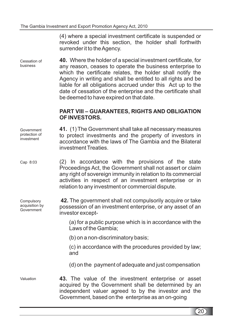(4) where a special investment certificate is suspended or revoked under this section, the holder shall forthwith surrender it to the Agency.

Where the holder of a special investment certificate, for **40.** any reason, ceases to operate the business enterprise to which the certificate relates, the holder shall notify the Agency in writing and shall be entitled to all rights and be liable for all obligations accrued under this Act up to the date of cessation of the enterprise and the certificate shall be deemed to have expired on that date. Cessation of business

#### **PART VIII – GUARANTEES, RIGHTS AND OBLIGATION OF INVESTORS.**

(1) The Government shall take all necessary measures **41.** to protect investments and the property of investors in accordance with the laws of The Gambia and the Bilateral investment Treaties. Government protection of investment

(2) In accordance with the provisions of the state Proceedings Act, the Government shall not assert or claim any right of sovereign immunity in relation to its commercial activities in respect of an investment enterprise or in relation to any investment or commercial dispute. Cap 8:03

**Compulsory** acquisition by Government

**42.** The government shall not compulsorily acquire or take possession of an investment enterprise, or any asset of an investor except-

> (a) for a public purpose which is in accordance with the Laws of the Gambia;

(b) on a non-discriminatory basis;

(c) in accordance with the procedures provided by law; and

(d) on the payment of adequate and just compensation

**43.** The value of the investment enterprise or asset acquired by the Government shall be determined by an independent valuer agreed to by the investor and the Government, based on the enterprise as an on-going Valuation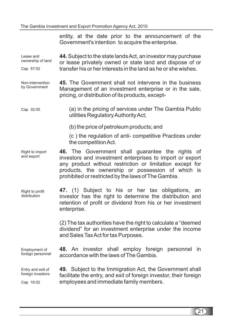Government's intention to acquire the enterprise. **44.** Subject to the state lands Act, an investor may purchase or lease privately owned or state land and dispose of or transfer his or her interests in the land as he or she wishes. **45.** The Government shall not intervene in the business Management of an investment enterprise or in the sale, pricing, or distribution of its products, except- (a) in the pricing of services under The Gambia Public utilities RegulatoryAuthorityAct; (b) the price of petroleum products; and (c ) the regulation of anti- competitive Practices under the competitionAct. **46.** The Government shall guarantee the rights of investors and investment enterprises to import or export any product without restriction or limitation except for products, the ownership or possession of which is prohibited or restricted by the laws of The Gambia. (1) Subject to his or her tax obligations, an **47.** investor has the right to determine the distribution and retention of profit or dividend from his or her investment enterprise. (2) The tax authorities have the right to calculate a "deemed dividend" for an investment enterprise under the income and Sales TaxAct for tax Purposes. **48.** An investor shall employ foreign personnel in accordance with the laws of The Gambia. **49.** Subject to the Immigration Act, the Government shall facilitate the entry, and exit of foreign investor, their foreign employees and immediate family members. Lease and ownership of land Cap 57:02 Non-intervention by Government Cap 32:05 Right to import and export Right to profit distribution Employment of foreign personnel Entry and exit of foreign investors Cap 16:02

entity, at the date prior to the announcement of the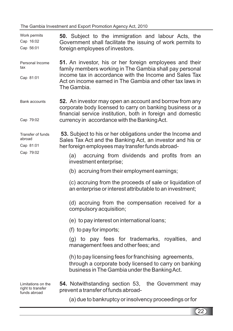The Gambia Investment and Export Promotion Agency Act, 2010

| Work permits<br>Cap 16:02<br>Cap 56:01                  | 50. Subject to the immigration and labour Acts, the<br>Government shall facilitate the issuing of work permits to<br>foreign employees of investors.                                                                                                    |  |
|---------------------------------------------------------|---------------------------------------------------------------------------------------------------------------------------------------------------------------------------------------------------------------------------------------------------------|--|
| Personal Income<br>tax<br>Cap 81:01                     | 51. An investor, his or her foreign employees and their<br>family members working in The Gambia shall pay personal<br>income tax in accordance with the Income and Sales Tax<br>Act on income earned in The Gambia and other tax laws in<br>The Gambia. |  |
| <b>Bank accounts</b><br>Cap 79:02                       | 52. An investor may open an account and borrow from any<br>corporate body licensed to carry on banking business or a<br>financial service institution, both in foreign and domestic<br>currency in accordance with the Banking Act.                     |  |
| Transfer of funds<br>abroad<br>Cap 81:01                | 53. Subject to his or her obligations under the Income and<br>Sales Tax Act and the Banking Act, an investor and his or<br>her foreign employees may transfer funds abroad-                                                                             |  |
| Cap 79:02                                               | accruing from dividends and profits from an<br>(a)<br>investment enterprise;                                                                                                                                                                            |  |
|                                                         | (b) accruing from their employment earnings;                                                                                                                                                                                                            |  |
|                                                         | (c) accruing from the proceeds of sale or liquidation of<br>an enterprise or interest attributable to an investment;                                                                                                                                    |  |
|                                                         | (d) accruing from the compensation received for a<br>compulsory acquisition;                                                                                                                                                                            |  |
|                                                         | (e) to pay interest on international loans;                                                                                                                                                                                                             |  |
|                                                         | (f) to pay for imports;                                                                                                                                                                                                                                 |  |
|                                                         | (g) to pay fees for trademarks,<br>royalties,<br>and<br>management fees and other fees; and                                                                                                                                                             |  |
|                                                         | (h) to pay licensing fees for franchising agreements,<br>through a corporate body licensed to carry on banking<br>business in The Gambia under the Banking Act.                                                                                         |  |
| Limitations on the<br>right to transfer<br>funds abroad | 54. Notwithstanding section 53, the Government may<br>prevent a transfer of funds abroad-                                                                                                                                                               |  |
|                                                         | (a) due to bankruptcy or insolvency proceedings or for                                                                                                                                                                                                  |  |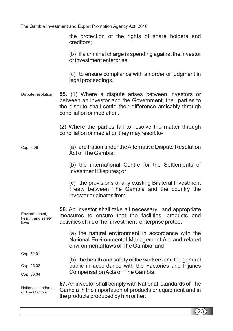the protection of the rights of share holders and creditors;

(b) if a criminal charge is spending against the investor or investment enterprise;

(c) to ensure compliance with an order or judgment in legal proceedings.

(1) Where a dispute arises between investors or **55.** between an investor and the Government, the parties to the dispute shall settle their difference amicably through conciliation or mediation. Dispute resolution

> (2) Where the parties fail to resolve the matter through conciliation or mediation they may resort to-

(a) arbitration under theAlternative Dispute Resolution Act of The Gambia; Cap 6:08

> (b) the international Centre for the Settlements of Investment Disputes; or

> (c) the provisions of any existing Bilateral Investment Treaty between The Gambia and the country the investor originates from.

56. An investor shall take all necessary and appropriate measures to ensure that the facilities, products and activities of his or her investment enterprise protect- Environmental, health, and safety laws

CompensationActs of The Gambia.

(a) the natural environment in accordance with the National Environmental Management Act and related environmental laws of The Gambia; and

(b) the health and safety of the workers and the general public in accordance with the Factories and Injuries

Cap 72:01

Cap 56:02

Cap 56:04

National standards of The Gambia

**57.** An investor shall comply with National standards of The Gambia in the importation of products or equipment and in the products produced by him or her.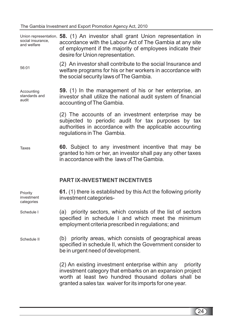Union representation, 58. (1) An investor shall grant Union representation in **59.** (1) In the management of his or her enterprise, an **60.** Subject to any investment incentive that may be **61.** (1) there is established by this Act the following priority accordance with the Labour Act of The Gambia at any site of employment if the majority of employees indicate their desire for Union representation. (2) An investor shall contribute to the social Insurance and welfare programs for his or her workers in accordance with the social security laws of The Gambia. investor shall utilize the national audit system of financial accounting of The Gambia. (2) The accounts of an investment enterprise may be subjected to periodic audit for tax purposes by tax authorities in accordance with the applicable accounting regulations in The Gambia. granted to him or her, an investor shall pay any other taxes in accordance with the laws of The Gambia. investment categories- (a) priority sectors, which consists of the list of sectors specified in schedule I and which meet the minimum employment criteria prescribed in regulations; and (b) priority areas, which consists of geographical areas specified in schedule II, which the Government consider to be in urgent need of development. (2) An existing investment enterprise within any priority investment category that embarks on an expansion project worth at least two hundred thousand dollars shall be granted a sales tax waiver for its imports for one year. **PART IX-INVESTMENT INCENTIVES** social insurance, and welfare 56:01 Accounting standards and audit Taxes Priority investment categories Schedule I Schedule II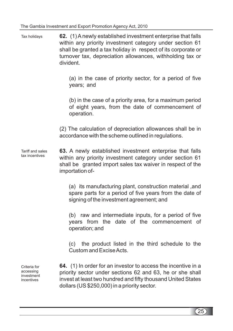**62.** (1) A newly established investment enterprise that falls within any priority investment category under section 61 shall be granted a tax holiday in respect of its corporate or turnover tax, depreciation allowances, withholding tax or divident. Tax holidays

> (a) in the case of priority sector, for a period of five years; and

> (b) in the case of a priority area, for a maximum period of eight years, from the date of commencement of operation.

(2) The calculation of depreciation allowances shall be in accordance with the scheme outlined in regulations.

**63.** A newly established investment enterprise that falls within any priority investment category under section 61 shall be granted import sales tax waiver in respect of the importation of- Tariff and sales tax incentives

> (a) its manufacturing plant, construction material ,and spare parts for a period of five years from the date of signing of the investment agreement; and

> (b) raw and intermediate inputs, for a period of five years from the date of the commencement of operation; and

> (c) the product listed in the third schedule to the Custom and ExciseActs.

Criteria for accessing investment incentives

**64.** (1) In order for an investor to access the incentive in a priority sector under sections 62 and 63, he or she shall invest at least two hundred and fifty thousand United States dollars (US \$250,000) in a priority sector.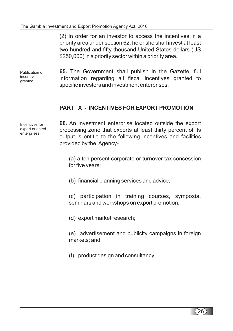(2) In order for an investor to access the incentives in a priority area under section 62, he or she shall invest at least two hundred and fifty thousand United States dollars (US \$250,000) in a priority sector within a priority area.

Publication of incentives granted

**65.** The Government shall publish in the Gazette, full information regarding all fiscal incentives granted to specific investors and investment enterprises.

## **PART X - INCENTIVES FOR EXPORT PROMOTION**

Incentives for export oriented enterprises

**66.** An investment enterprise located outside the export processing zone that exports at least thirty percent of its output is entitle to the following incentives and facilities provided by the Agency-

(a) a ten percent corporate or turnover tax concession for five years;

(b) financial planning services and advice;

(c) participation in training courses, symposia, seminars and workshops on export promotion;

(d) export market research;

(e) advertisement and publicity campaigns in foreign markets; and

(f) product design and consultancy.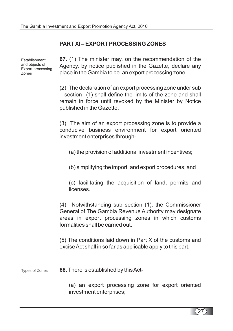## **PART XI – EXPORT PROCESSING ZONES**

**Establishment** and objects of Export processing Zones

**67.** (1) The minister may, on the recommendation of the Agency, by notice published in the Gazette, declare any place in the Gambia to be an export processing zone.

(2) The declaration of an export processing zone under sub – section (1) shall define the limits of the zone and shall remain in force until revoked by the Minister by Notice published in the Gazette.

(3) The aim of an export processing zone is to provide a conducive business environment for export oriented investment enterprises through-

(a) the provision of additional investment incentives;

(b) simplifying the import and export procedures; and

(c) facilitating the acquisition of land, permits and licenses.

(4) Notwithstanding sub section (1), the Commissioner General of The Gambia Revenue Authority may designate areas in export processing zones in which customs formalities shall be carried out.

(5) The conditions laid down in Part X of the customs and exciseAct shall in so far as applicable apply to this part.

**68.** There is established by thisAct- Types of Zones

> (a) an export processing zone for export oriented investment enterprises;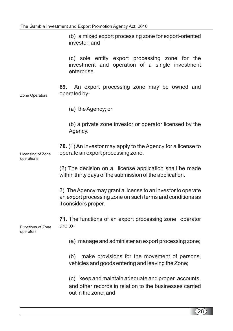investor; and (c) sole entity export processing zone for the investment and operation of a single investment enterprise. An export processing zone may be owned and operated by- (a) theAgency; or (b) a private zone investor or operator licensed by the Agency. (1) An investor may apply to the Agency for a license to **70.** operate an export processing zone. (2) The decision on a license application shall be made within thirty days of the submission of the application. 3) TheAgency may grant a license to an investor to operate an export processing zone on such terms and conditions as it considers proper. The functions of an export processing zone operator **71.** are to- (a) manage and administer an export processing zone; (b) make provisions for the movement of persons, vehicles and goods entering and leaving the Zone; (c) keep and maintain adequate and proper accounts and other records in relation to the businesses carried out in the zone; and **69.** Zone Operators Licensing of Zone operations Functions of Zone operators

(b) a mixed export processing zone for export-oriented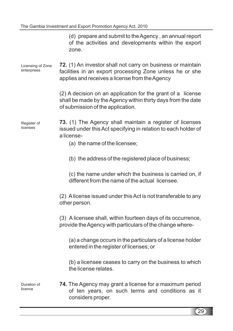(d) prepare and submit to theAgency , an annual report of the activities and developments within the export zone.

(1) An investor shall not carry on business or maintain **72.** facilities in an export processing Zone unless he or she applies and receives a license from theAgency Licensing of Zone enterprises

> (2) A decision on an application for the grant of a license shall be made by the Agency within thirty days from the date of submission of the application.

(1) The Agency shall maintain a register of licenses **73.** issued under this Act specifying in relation to each holder of a license- Register of licenses

(a) the name of the licensee;

(b) the address of the registered place of business;

(c) the name under which the business is carried on, if different from the name of the actual licensee.

(2) Alicense issued under thisAct is not transferable to any other person.

(3) A licensee shall, within fourteen days of its occurrence, provide theAgency with particulars of the change where-

(a) a change occurs in the particulars of a license holder entered in the register of licenses; or

(b) a licensee ceases to carry on the business to which the license relates.

Duration of licence

74. The Agency may grant a license for a maximum period of ten years, on such terms and conditions as it considers proper.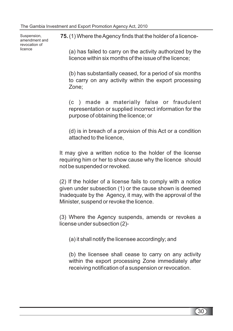**Suspension** amendment and revocation of licence

**75.** (1) Where theAgency finds that the holder of a licence-

(a) has failed to carry on the activity authorized by the licence within six months of the issue of the licence;

(b) has substantially ceased, for a period of six months to carry on any activity within the export processing Zone;

(c ) made a materially false or fraudulent representation or supplied incorrect information for the purpose of obtaining the licence; or

(d) is in breach of a provision of this Act or a condition attached to the licence,

It may give a written notice to the holder of the license requiring him or her to show cause why the licence should not be suspended or revoked.

(2) If the holder of a license fails to comply with a notice given under subsection (1) or the cause shown is deemed Inadequate by the Agency, it may, with the approval of the Minister, suspend or revoke the licence.

(3) Where the Agency suspends, amends or revokes a license under subsection (2)-

(a) it shall notify the licensee accordingly; and

(b) the licensee shall cease to carry on any activity within the export processing Zone immediately after receiving notification of a suspension or revocation.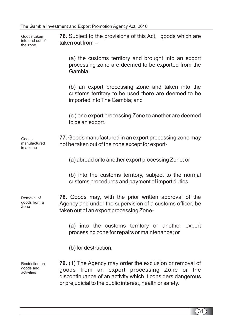**76.** Subject to the provisions of this Act, goods which are **77.** Goods manufactured in an export processing zone may **78.** Goods may, with the prior written approval of the **79.** (1) The Agency may order the exclusion or removal of taken out from – (a) the customs territory and brought into an export processing zone are deemed to be exported from the Gambia; (b) an export processing Zone and taken into the customs territory to be used there are deemed to be imported into The Gambia; and (c ) one export processing Zone to another are deemed to be an export. not be taken out of the zone except for export- (a) abroad or to another export processing Zone; or (b) into the customs territory, subject to the normal customs procedures and payment of import duties. Agency and under the supervision of a customs officer, be taken out of an export processing Zone- (a) into the customs territory or another export processing zone for repairs or maintenance; or (b) for destruction. goods from an export processing Zone or the discontinuance of an activity which it considers dangerous Goods taken into and out of the zone Goods manufactured in a zone Removal of goods from a Zone Restriction on goods and activities

or prejudicial to the public interest, health or safety.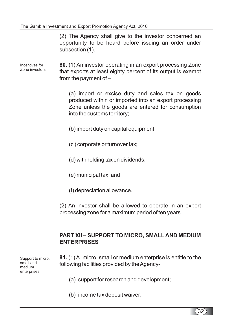(2) The Agency shall give to the investor concerned an opportunity to be heard before issuing an order under subsection (1).

Incentives for Zone investors

(1) An investor operating in an export processing Zone **80.** that exports at least eighty percent of its output is exempt from the payment of –

(a) import or excise duty and sales tax on goods produced within or imported into an export processing Zone unless the goods are entered for consumption into the customs territory;

- (b) import duty on capital equipment;
- (c ) corporate or turnover tax;
- (d) withholding tax on dividends;
- (e) municipal tax; and
- (f) depreciation allowance.

(2) An investor shall be allowed to operate in an export processing zone for a maximum period of ten years.

## **PART XII – SUPPORT TO MICRO, SMALL AND MEDIUM ENTERPRISES**

Support to micro, small and medium enterprises

- (1) A micro, small or medium enterprise is entitle to the **81.** following facilities provided by theAgency-
	- (a) support for research and development;
	- (b) income tax deposit waiver;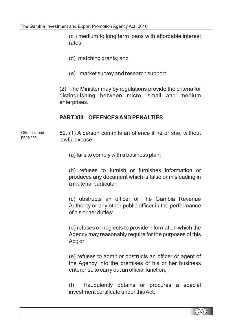(c ) medium to long term loans with affordable interest rates;

- (d) matching grants; and
- (e) market survey and research support.

(2) The Minister may by regulations provide the criteria for distinguishing between micro, small and medium enterprises.

## **PART XIII – OFFENCESAND PENALTIES**

Offences and penalties

82. (1) A person commits an offence if he or she, without lawful excuse-

(a) fails to comply with a business plan;

(b) refuses to furnish or furnishes information or produces any document which is false or misleading in a material particular;

(c) obstructs an officer of The Gambia Revenue Authority or any other public officer in the performance of his or her duties;

(d) refuses or neglects to provide information which the Agency may reasonably require for the purposes of this Act; or

(e) refuses to admit or obstructs an officer or agent of the Agency into the premises of his or her business enterprise to carry out an official function;

(f) fraudulently obtains or procures a special investment certificate under thisAct;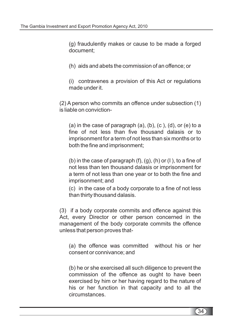(g) fraudulently makes or cause to be made a forged document;

- (h) aids and abets the commission of an offence; or
- (i) contravenes a provision of this Act or regulations made under it.

(2) A person who commits an offence under subsection (1) is liable on conviction-

(a) in the case of paragraph  $(a)$ ,  $(b)$ ,  $(c)$ ,  $(d)$ , or  $(e)$  to a fine of not less than five thousand dalasis or to imprisonment for a term of not less than six months or to both the fine and imprisonment;

(b) in the case of paragraph  $(f)$ ,  $(g)$ ,  $(h)$  or  $(l)$ , to a fine of not less than ten thousand dalasis or imprisonment for a term of not less than one year or to both the fine and imprisonment; and

(c) in the case of a body corporate to a fine of not less than thirty thousand dalasis.

(3) if a body corporate commits and offence against this Act, every Director or other person concerned in the management of the body corporate commits the offence unless that person proves that-

(a) the offence was committed without his or her consent or connivance; and

(b) he or she exercised all such diligence to prevent the commission of the offence as ought to have been exercised by him or her having regard to the nature of his or her function in that capacity and to all the circumstances.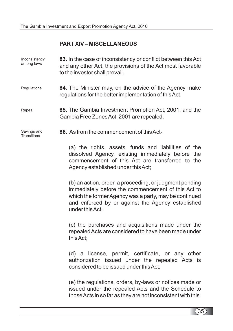## **PART XIV – MISCELLANEOUS**

| Inconsistency<br>among laws | 83. In the case of inconsistency or conflict between this Act<br>and any other Act, the provisions of the Act most favorable<br>to the investor shall prevail.                                                                                 |  |
|-----------------------------|------------------------------------------------------------------------------------------------------------------------------------------------------------------------------------------------------------------------------------------------|--|
| Regulations                 | 84. The Minister may, on the advice of the Agency make<br>regulations for the better implementation of this Act.                                                                                                                               |  |
| Repeal                      | 85. The Gambia Investment Promotion Act, 2001, and the<br>Gambia Free Zones Act, 2001 are repealed.                                                                                                                                            |  |
| Savings and<br>Transitions  | 86. As from the commencement of this Act-                                                                                                                                                                                                      |  |
|                             | (a) the rights, assets, funds and liabilities of the<br>dissolved Agency, existing immediately before the<br>commencement of this Act are transferred to the<br>Agency established under this Act;                                             |  |
|                             | (b) an action, order, a proceeding, or judgment pending<br>immediately before the commencement of this Act to<br>which the former Agency was a party, may be continued<br>and enforced by or against the Agency established<br>under this Act; |  |
|                             | (c) the purchases and acquisitions made under the<br>repealed Acts are considered to have been made under<br>this Act;                                                                                                                         |  |
|                             | (d) a license, permit, certificate, or any other<br>authorization issued under the repealed Acts is<br>considered to be issued under this Act;                                                                                                 |  |
|                             | (e) the regulations, orders, by-laws or notices made or<br>issued under the repealed Acts and the Schedule to<br>those Acts in so far as they are not inconsistent with this                                                                   |  |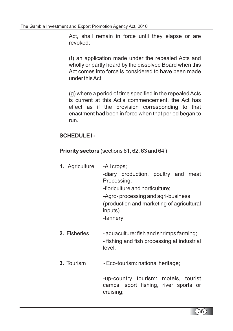Act, shall remain in force until they elapse or are revoked;

(f) an application made under the repealed Acts and wholly or partly heard by the dissolved Board when this Act comes into force is considered to have been made under thisAct;

(g) where a period of time specified in the repealedActs is current at this Act's commencement, the Act has effect as if the provision corresponding to that enactment had been in force when that period began to run.

## **SCHEDULE I -**

**Priority sectors** (sections 61, 62, 63 and 64)

- Agriculture -All crops; **1.** -diary production, poultry and meat Processing; floriculture and horticulture; **-** Agro- processing and agri-business **-** (production and marketing of agricultural inputs) -tannery;
- aquaculture: fish and shrimps farming; - fishing and fish processing at industrial level. **2.**
- Eco-tourism: national heritage; **3.**

-up-country tourism: motels, tourist camps, sport fishing, river sports or cruising;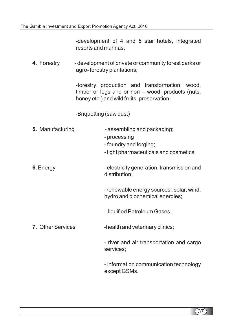**-** development of 4 and 5 star hotels, integrated resorts and marinas;

**4.** - development of private or community forest parks or agro- forestry plantations;

> -forestry production and transformation; wood, timber or logs and or non – wood, products (nuts, honey etc.) and wild fruits preservation;

-Briquetting (saw dust)

| 5. Manufacturing         | - assembling and packaging;<br>- processing<br>- foundry and forging;<br>- light pharmaceuticals and cosmetics. |
|--------------------------|-----------------------------------------------------------------------------------------------------------------|
| 6. Energy                | - electricity generation, transmission and<br>distribution;                                                     |
|                          | - renewable energy sources : solar, wind,<br>hydro and biochemical energies;                                    |
|                          | - liquified Petroleum Gases.                                                                                    |
| <b>7. Other Services</b> | -health and veterinary clinics;                                                                                 |
|                          | - river and air transportation and cargo<br>services;                                                           |
|                          | - information communication technology<br>except GSMs.                                                          |
|                          |                                                                                                                 |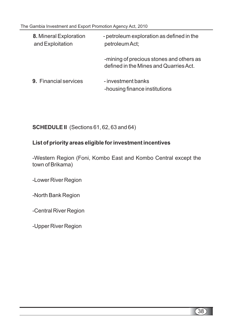| 8. Mineral Exploration<br>and Exploitation | - petroleum exploration as defined in the<br>petroleum Act;                        |
|--------------------------------------------|------------------------------------------------------------------------------------|
|                                            | -mining of precious stones and others as<br>defined in the Mines and Quarries Act. |
| <b>9. Financial services</b>               | - investment banks<br>-housing finance institutions                                |

**SCHEDULE II** (Sections 61, 62, 63 and 64)

## **List of priority areas eligible for investment incentives**

-Western Region (Foni, Kombo East and Kombo Central except the town of Brikama)

-Lower River Region

-North Bank Region

-Central River Region

-Upper River Region